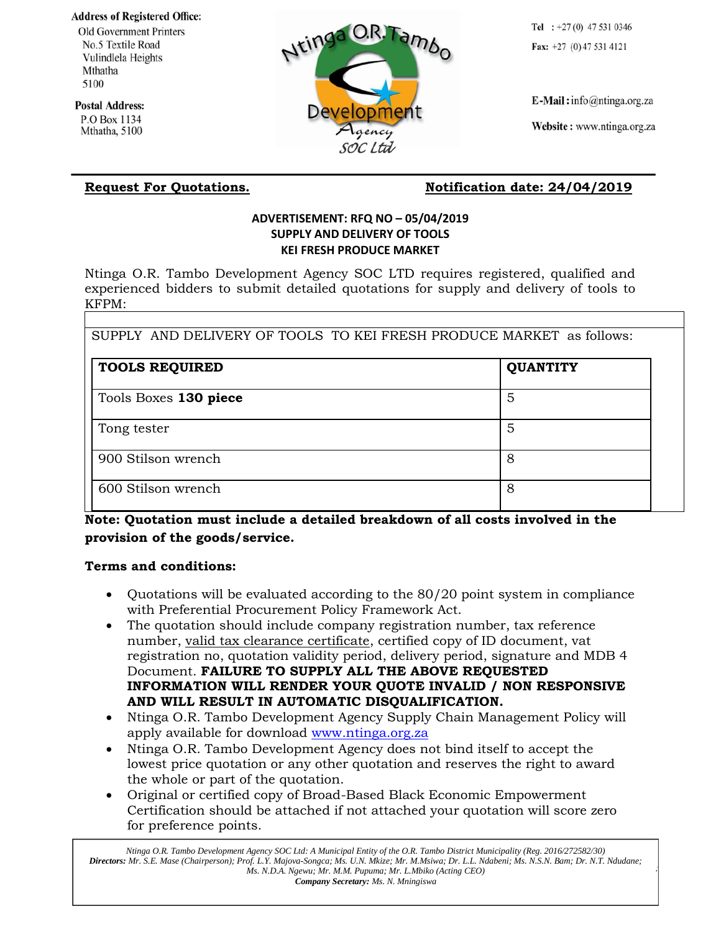**Address of Registered Office:** 

**Old Government Printers** No.5 Textile Road Vulindlela Heights Mthatha 5100

**Postal Address:** P.O Box 1134 Mthatha, 5100

# Developm soc Ltd

Tel :  $+27(0)$  47 531 0346 Fax:  $+27$  (0) 47 531 4121

 $E$ -Mail: info@ntinga.org.za

Website: www.ntinga.org.za

## Request For Quotations. Notification date: 24/04/2019

#### **ADVERTISEMENT: RFQ NO – 05/04/2019 SUPPLY AND DELIVERY OF TOOLS KEI FRESH PRODUCE MARKET**

Ntinga O.R. Tambo Development Agency SOC LTD requires registered, qualified and experienced bidders to submit detailed quotations for supply and delivery of tools to KFPM:

|  |  | SUPPLY AND DELIVERY OF TOOLS TO KEI FRESH PRODUCE MARKET as follows: |  |
|--|--|----------------------------------------------------------------------|--|
|  |  |                                                                      |  |

| <b>TOOLS REQUIRED</b> | <b>QUANTITY</b> |
|-----------------------|-----------------|
| Tools Boxes 130 piece | 5               |
| Tong tester           | 5               |
| 900 Stilson wrench    | 8               |
| 600 Stilson wrench    | 8               |

### **Note: Quotation must include a detailed breakdown of all costs involved in the provision of the goods/service.**

#### **Terms and conditions:**

- Quotations will be evaluated according to the 80/20 point system in compliance with Preferential Procurement Policy Framework Act.
- The quotation should include company registration number, tax reference number, valid tax clearance certificate, certified copy of ID document, vat registration no, quotation validity period, delivery period, signature and MDB 4 Document. **FAILURE TO SUPPLY ALL THE ABOVE REQUESTED INFORMATION WILL RENDER YOUR QUOTE INVALID / NON RESPONSIVE AND WILL RESULT IN AUTOMATIC DISQUALIFICATION.**
- Ntinga O.R. Tambo Development Agency Supply Chain Management Policy will apply available for download [www.ntinga.org.za](http://www.ntinga.org.za/)
- Ntinga O.R. Tambo Development Agency does not bind itself to accept the lowest price quotation or any other quotation and reserves the right to award the whole or part of the quotation.
- Original or certified copy of Broad-Based Black Economic Empowerment Certification should be attached if not attached your quotation will score zero for preference points.

*Ntinga O.R. Tambo Development Agency SOC Ltd: A Municipal Entity of the O.R. Tambo District Municipality (Reg. 2016/272582/30) Directors: Mr. S.E. Mase (Chairperson); Prof. L.Y. Majova-Songca; Ms. U.N. Mkize; Mr. M.Msiwa; Dr. L.L. Ndabeni; Ms. N.S.N. Bam; Dr. N.T. Ndudane; Ms. N.D.A. Ngewu; Mr. M.M. Pupuma; Mr. L.Mbiko (Acting CEO) Company Secretary: Ms. N. Mningiswa*